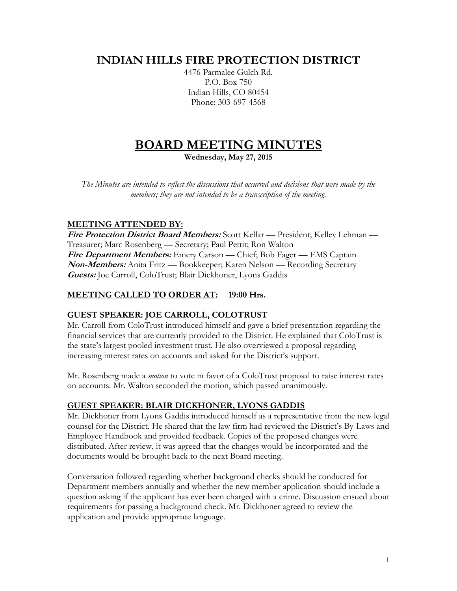# **INDIAN HILLS FIRE PROTECTION DISTRICT**

4476 Parmalee Gulch Rd. P.O. Box 750 Indian Hills, CO 80454 Phone: 303-697-4568

# **BOARD MEETING MINUTES**

**Wednesday, May 27, 2015**

*The Minutes are intended to reflect the discussions that occurred and decisions that were made by the members; they are not intended to be a transcription of the meeting.*

# **MEETING ATTENDED BY:**

**Fire Protection District Board Members:** Scott Kellar — President; Kelley Lehman — Treasurer; Marc Rosenberg — Secretary; Paul Pettit; Ron Walton **Fire Department Members:** Emery Carson — Chief; Bob Fager — EMS Captain **Non-Members:** Anita Fritz — Bookkeeper; Karen Nelson — Recording Secretary **Guests:** Joe Carroll, ColoTrust; Blair Dickhoner, Lyons Gaddis

# **MEETING CALLED TO ORDER AT: 19:00 Hrs.**

# **GUEST SPEAKER: JOE CARROLL, COLOTRUST**

Mr. Carroll from ColoTrust introduced himself and gave a brief presentation regarding the financial services that are currently provided to the District. He explained that ColoTrust is the state's largest pooled investment trust. He also overviewed a proposal regarding increasing interest rates on accounts and asked for the District's support.

Mr. Rosenberg made a *motion* to vote in favor of a ColoTrust proposal to raise interest rates on accounts. Mr. Walton seconded the motion, which passed unanimously.

# **GUEST SPEAKER: BLAIR DICKHONER, LYONS GADDIS**

Mr. Dickhoner from Lyons Gaddis introduced himself as a representative from the new legal counsel for the District. He shared that the law firm had reviewed the District's By-Laws and Employee Handbook and provided feedback. Copies of the proposed changes were distributed. After review, it was agreed that the changes would be incorporated and the documents would be brought back to the next Board meeting.

Conversation followed regarding whether background checks should be conducted for Department members annually and whether the new member application should include a question asking if the applicant has ever been charged with a crime. Discussion ensued about requirements for passing a background check. Mr. Dickhoner agreed to review the application and provide appropriate language.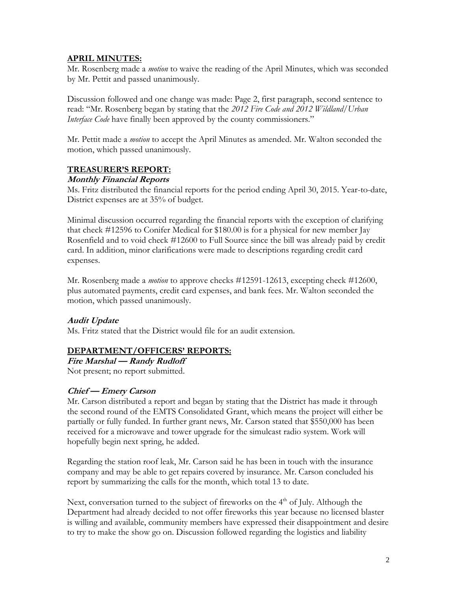#### **APRIL MINUTES:**

Mr. Rosenberg made a *motion* to waive the reading of the April Minutes, which was seconded by Mr. Pettit and passed unanimously.

Discussion followed and one change was made: Page 2, first paragraph, second sentence to read: "Mr. Rosenberg began by stating that the *2012 Fire Code and 2012 Wildland/Urban Interface Code* have finally been approved by the county commissioners."

Mr. Pettit made a *motion* to accept the April Minutes as amended. Mr. Walton seconded the motion, which passed unanimously.

#### **TREASURER'S REPORT:**

#### **Monthly Financial Reports**

Ms. Fritz distributed the financial reports for the period ending April 30, 2015. Year-to-date, District expenses are at 35% of budget.

Minimal discussion occurred regarding the financial reports with the exception of clarifying that check #12596 to Conifer Medical for \$180.00 is for a physical for new member Jay Rosenfield and to void check #12600 to Full Source since the bill was already paid by credit card. In addition, minor clarifications were made to descriptions regarding credit card expenses.

Mr. Rosenberg made a *motion* to approve checks #12591-12613, excepting check #12600, plus automated payments, credit card expenses, and bank fees. Mr. Walton seconded the motion, which passed unanimously.

#### **Audit Update**

Ms. Fritz stated that the District would file for an audit extension.

# **DEPARTMENT/OFFICERS' REPORTS:**

**Fire Marshal — Randy Rudloff**

Not present; no report submitted.

# **Chief — Emery Carson**

Mr. Carson distributed a report and began by stating that the District has made it through the second round of the EMTS Consolidated Grant, which means the project will either be partially or fully funded. In further grant news, Mr. Carson stated that \$550,000 has been received for a microwave and tower upgrade for the simulcast radio system. Work will hopefully begin next spring, he added.

Regarding the station roof leak, Mr. Carson said he has been in touch with the insurance company and may be able to get repairs covered by insurance. Mr. Carson concluded his report by summarizing the calls for the month, which total 13 to date.

Next, conversation turned to the subject of fireworks on the 4<sup>th</sup> of July. Although the Department had already decided to not offer fireworks this year because no licensed blaster is willing and available, community members have expressed their disappointment and desire to try to make the show go on. Discussion followed regarding the logistics and liability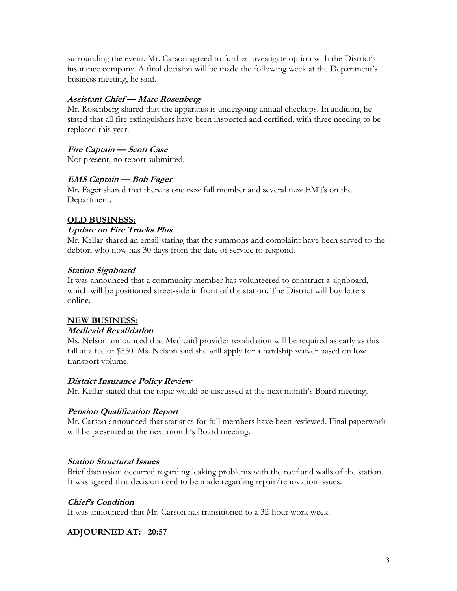surrounding the event. Mr. Carson agreed to further investigate option with the District's insurance company. A final decision will be made the following week at the Department's business meeting, he said.

#### **Assistant Chief — Marc Rosenberg**

Mr. Rosenberg shared that the apparatus is undergoing annual checkups. In addition, he stated that all fire extinguishers have been inspected and certified, with three needing to be replaced this year.

# **Fire Captain — Scott Case**

Not present; no report submitted.

#### **EMS Captain — Bob Fager**

Mr. Fager shared that there is one new full member and several new EMTs on the Department.

#### **OLD BUSINESS:**

#### **Update on Fire Trucks Plus**

Mr. Kellar shared an email stating that the summons and complaint have been served to the debtor, who now has 30 days from the date of service to respond.

#### **Station Signboard**

It was announced that a community member has volunteered to construct a signboard, which will be positioned street-side in front of the station. The District will buy letters online.

#### **NEW BUSINESS:**

#### **Medicaid Revalidation**

Ms. Nelson announced that Medicaid provider revalidation will be required as early as this fall at a fee of \$550. Ms. Nelson said she will apply for a hardship waiver based on low transport volume.

#### **District Insurance Policy Review**

Mr. Kellar stated that the topic would be discussed at the next month's Board meeting.

# **Pension Qualification Report**

Mr. Carson announced that statistics for full members have been reviewed. Final paperwork will be presented at the next month's Board meeting.

# **Station Structural Issues**

Brief discussion occurred regarding leaking problems with the roof and walls of the station. It was agreed that decision need to be made regarding repair/renovation issues.

# **Chief's Condition**

It was announced that Mr. Carson has transitioned to a 32-hour work week.

# **ADJOURNED AT: 20:57**